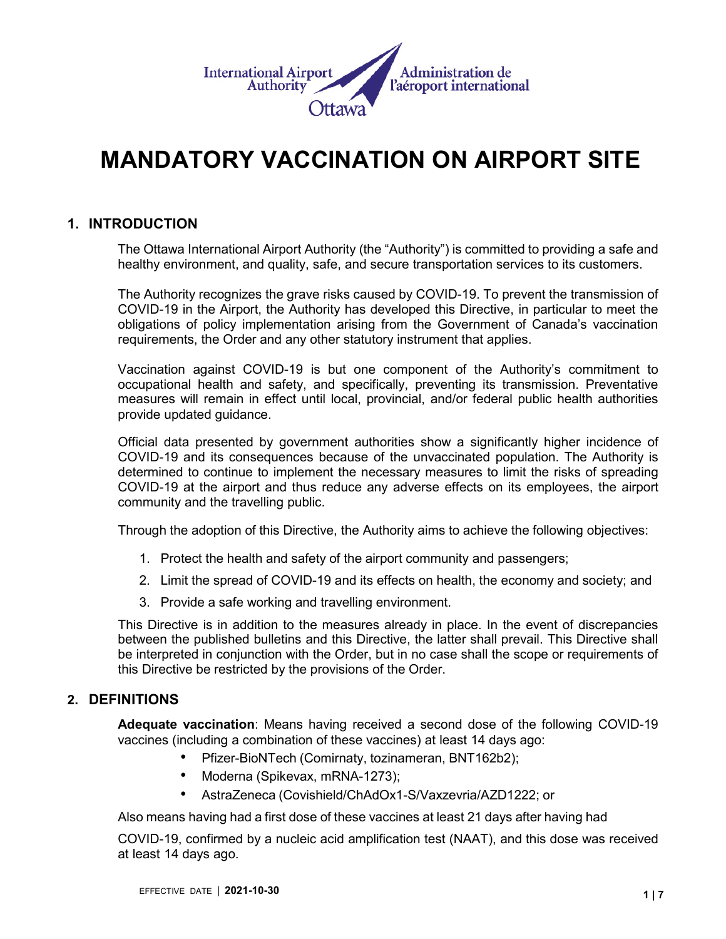

# **MANDATORY VACCINATION ON AIRPORT SITE**

# **1. INTRODUCTION**

The Ottawa International Airport Authority (the "Authority") is committed to providing a safe and healthy environment, and quality, safe, and secure transportation services to its customers.

The Authority recognizes the grave risks caused by COVID-19. To prevent the transmission of COVID-19 in the Airport, the Authority has developed this Directive, in particular to meet the obligations of policy implementation arising from the Government of Canada's vaccination requirements, the Order and any other statutory instrument that applies.

Vaccination against COVID-19 is but one component of the Authority's commitment to occupational health and safety, and specifically, preventing its transmission. Preventative measures will remain in effect until local, provincial, and/or federal public health authorities provide updated guidance.

Official data presented by government authorities show a significantly higher incidence of COVID-19 and its consequences because of the unvaccinated population. The Authority is determined to continue to implement the necessary measures to limit the risks of spreading COVID-19 at the airport and thus reduce any adverse effects on its employees, the airport community and the travelling public.

Through the adoption of this Directive, the Authority aims to achieve the following objectives:

- 1. Protect the health and safety of the airport community and passengers;
- 2. Limit the spread of COVID-19 and its effects on health, the economy and society; and
- 3. Provide a safe working and travelling environment.

This Directive is in addition to the measures already in place. In the event of discrepancies between the published bulletins and this Directive, the latter shall prevail. This Directive shall be interpreted in conjunction with the Order, but in no case shall the scope or requirements of this Directive be restricted by the provisions of the Order.

# **2. DEFINITIONS**

**Adequate vaccination**: Means having received a second dose of the following COVID-19 vaccines (including a combination of these vaccines) at least 14 days ago:

- Pfizer-BioNTech (Comirnaty, tozinameran, BNT162b2);
- Moderna (Spikevax, mRNA-1273);
- AstraZeneca (Covishield/ChAdOx1-S/Vaxzevria/AZD1222; or

Also means having had a first dose of these vaccines at least 21 days after having had

COVID-19, confirmed by a nucleic acid amplification test (NAAT), and this dose was received at least 14 days ago.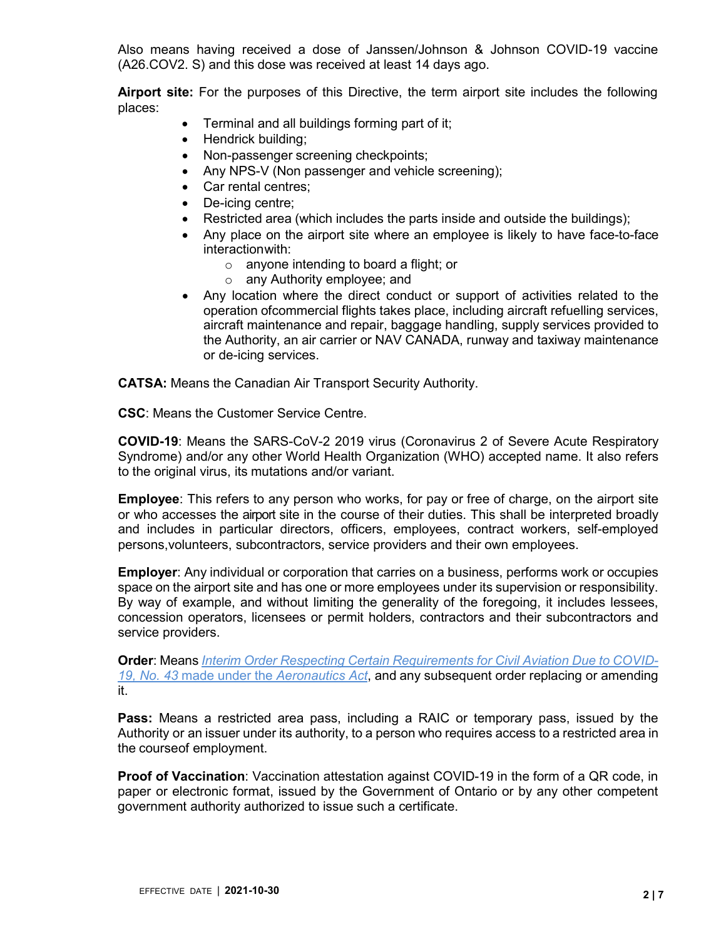Also means having received a dose of Janssen/Johnson & Johnson COVID-19 vaccine (A26.COV2. S) and this dose was received at least 14 days ago.

**Airport site:** For the purposes of this Directive, the term airport site includes the following places:

- Terminal and all buildings forming part of it;
- Hendrick building;
- Non-passenger screening checkpoints;
- Any NPS-V (Non passenger and vehicle screening);
- Car rental centres;
- De-icing centre;
- Restricted area (which includes the parts inside and outside the buildings);
- Any place on the airport site where an employee is likely to have face-to-face interaction with:
	- o anyone intending to board a flight; or
	- o any Authority employee; and
- Any location where the direct conduct or support of activities related to the operation ofcommercial flights takes place, including aircraft refuelling services, aircraft maintenance and repair, baggage handling, supply services provided to the Authority, an air carrier or NAV CANADA, runway and taxiway maintenance or de-icing services.

**CATSA:** Means the Canadian Air Transport Security Authority.

**CSC**: Means the Customer Service Centre.

**COVID-19**: Means the SARS-CoV-2 2019 virus (Coronavirus 2 of Severe Acute Respiratory Syndrome) and/or any other World Health Organization (WHO) accepted name. It also refers to the original virus, its mutations and/or variant.

**Employee**: This refers to any person who works, for pay or free of charge, on the airport site or who accesses the airport site in the course of their duties. This shall be interpreted broadly and includes in particular directors, officers, employees, contract workers, self-employed persons,volunteers, subcontractors, service providers and their own employees.

**Employer**: Any individual or corporation that carries on a business, performs work or occupies space on the airport site and has one or more employees under its supervision or responsibility. By way of example, and without limiting the generality of the foregoing, it includes lessees, concession operators, licensees or permit holders, contractors and their subcontractors and service providers.

**Order**: Means *Interim Order Respecting Certain [Requirements](https://tc.canada.ca/en/ministerial-orders-interim-orders-directives-directions-response-letters/interim-order-respecting-certain-requirements-civil-aviation-due-covid-19-no-43) for Civil Aviation Due to COVID-19, No. 43* made under the *[Aeronautics](https://tc.canada.ca/en/ministerial-orders-interim-orders-directives-directions-response-letters/interim-order-respecting-certain-requirements-civil-aviation-due-covid-19-no-43) Act*, and any subsequent order replacing or amending it.

**Pass:** Means a restricted area pass, including a RAIC or temporary pass, issued by the Authority or an issuer under its authority, to a person who requires access to a restricted area in the courseof employment.

**Proof of Vaccination**: Vaccination attestation against COVID-19 in the form of a QR code, in paper or electronic format, issued by the Government of Ontario or by any other competent government authority authorized to issue such a certificate.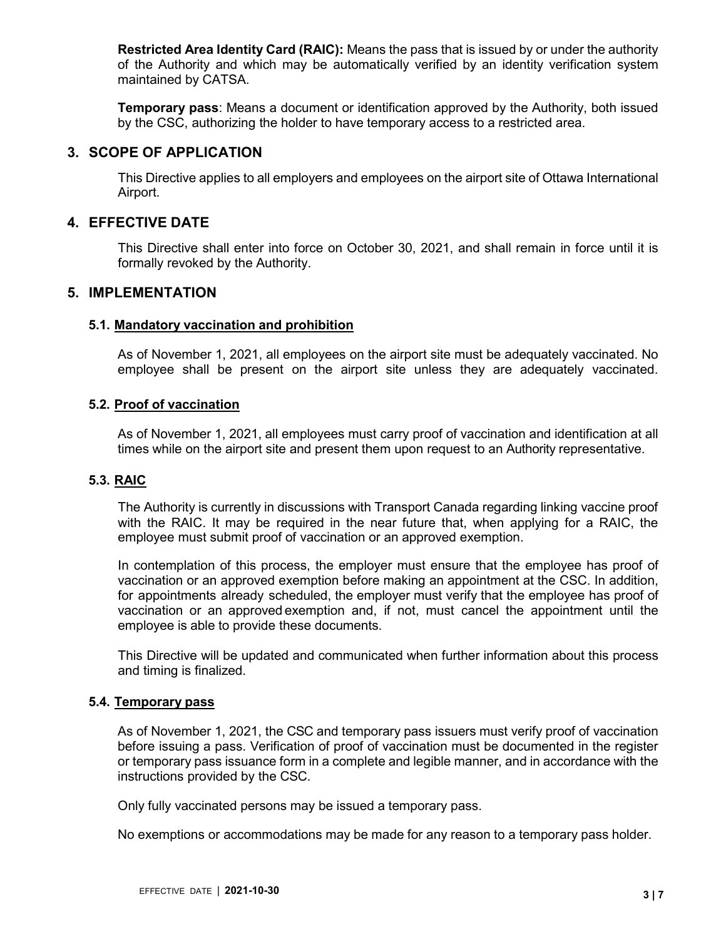**Restricted Area Identity Card (RAIC):** Means the pass that is issued by or under the authority of the Authority and which may be automatically verified by an identity verification system maintained by CATSA.

**Temporary pass**: Means a document or identification approved by the Authority, both issued by the CSC, authorizing the holder to have temporary access to a restricted area.

# **3. SCOPE OF APPLICATION**

This Directive applies to all employers and employees on the airport site of Ottawa International Airport.

# **4. EFFECTIVE DATE**

This Directive shall enter into force on October 30, 2021, and shall remain in force until it is formally revoked by the Authority.

# **5. IMPLEMENTATION**

#### **5.1. Mandatory vaccination and prohibition**

As of November 1, 2021, all employees on the airport site must be adequately vaccinated. No employee shall be present on the airport site unless they are adequately vaccinated.

#### **5.2. Proof of vaccination**

As of November 1, 2021, all employees must carry proof of vaccination and identification at all times while on the airport site and present them upon request to an Authority representative.

# **5.3. RAIC**

The Authority is currently in discussions with Transport Canada regarding linking vaccine proof with the RAIC. It may be required in the near future that, when applying for a RAIC, the employee must submit proof of vaccination or an approved exemption.

In contemplation of this process, the employer must ensure that the employee has proof of vaccination or an approved exemption before making an appointment at the CSC. In addition, for appointments already scheduled, the employer must verify that the employee has proof of vaccination or an approved exemption and, if not, must cancel the appointment until the employee is able to provide these documents.

This Directive will be updated and communicated when further information about this process and timing is finalized.

#### **5.4. Temporary pass**

As of November 1, 2021, the CSC and temporary pass issuers must verify proof of vaccination before issuing a pass. Verification of proof of vaccination must be documented in the register or temporary pass issuance form in a complete and legible manner, and in accordance with the instructions provided by the CSC.

Only fully vaccinated persons may be issued a temporary pass.

No exemptions or accommodations may be made for any reason to a temporary pass holder.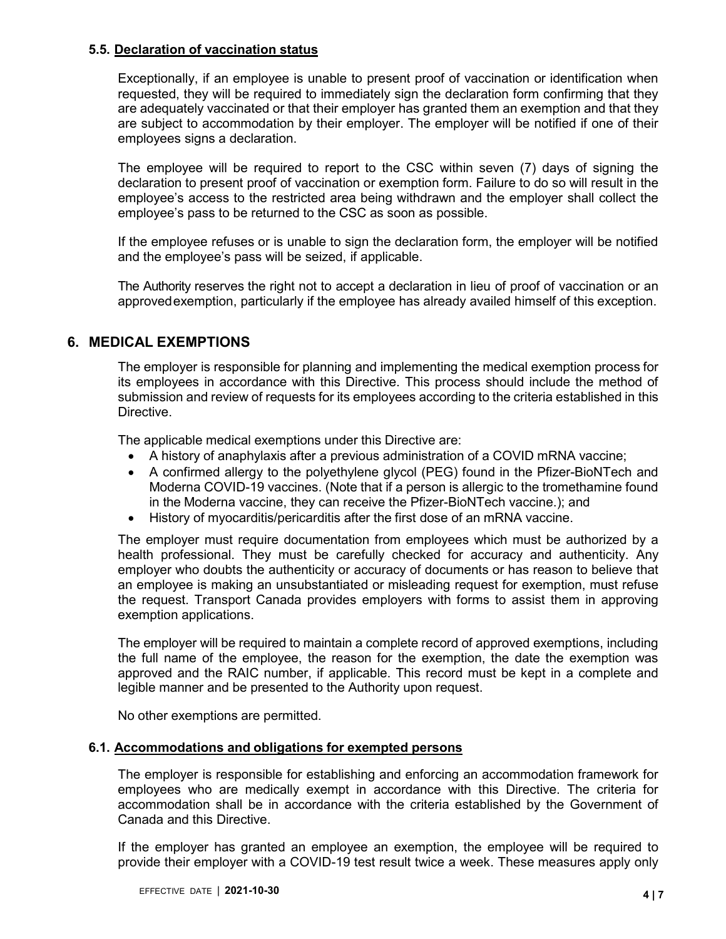#### **5.5. Declaration of vaccination status**

Exceptionally, if an employee is unable to present proof of vaccination or identification when requested, they will be required to immediately sign the declaration form confirming that they are adequately vaccinated or that their employer has granted them an exemption and that they are subject to accommodation by their employer. The employer will be notified if one of their employees signs a declaration.

The employee will be required to report to the CSC within seven (7) days of signing the declaration to present proof of vaccination or exemption form. Failure to do so will result in the employee's access to the restricted area being withdrawn and the employer shall collect the employee's pass to be returned to the CSC as soon as possible.

If the employee refuses or is unable to sign the declaration form, the employer will be notified and the employee's pass will be seized, if applicable.

The Authority reserves the right not to accept a declaration in lieu of proof of vaccination or an approved exemption, particularly if the employee has already availed himself of this exception.

# **6. MEDICAL EXEMPTIONS**

The employer is responsible for planning and implementing the medical exemption process for its employees in accordance with this Directive. This process should include the method of submission and review of requests for its employees according to the criteria established in this Directive.

The applicable medical exemptions under this Directive are:

- A history of anaphylaxis after a previous administration of a COVID mRNA vaccine;
- A confirmed allergy to the polyethylene glycol (PEG) found in the Pfizer-BioNTech and Moderna COVID-19 vaccines. (Note that if a person is allergic to the tromethamine found in the Moderna vaccine, they can receive the Pfizer-BioNTech vaccine.); and
- History of myocarditis/pericarditis after the first dose of an mRNA vaccine.

The employer must require documentation from employees which must be authorized by a health professional. They must be carefully checked for accuracy and authenticity. Any employer who doubts the authenticity or accuracy of documents or has reason to believe that an employee is making an unsubstantiated or misleading request for exemption, must refuse the request. Transport Canada provides employers with forms to assist them in approving exemption applications.

The employer will be required to maintain a complete record of approved exemptions, including the full name of the employee, the reason for the exemption, the date the exemption was approved and the RAIC number, if applicable. This record must be kept in a complete and legible manner and be presented to the Authority upon request.

No other exemptions are permitted.

### **6.1. Accommodations and obligations for exempted persons**

The employer is responsible for establishing and enforcing an accommodation framework for employees who are medically exempt in accordance with this Directive. The criteria for accommodation shall be in accordance with the criteria established by the Government of Canada and this Directive.

If the employer has granted an employee an exemption, the employee will be required to provide their employer with a COVID-19 test result twice a week. These measures apply only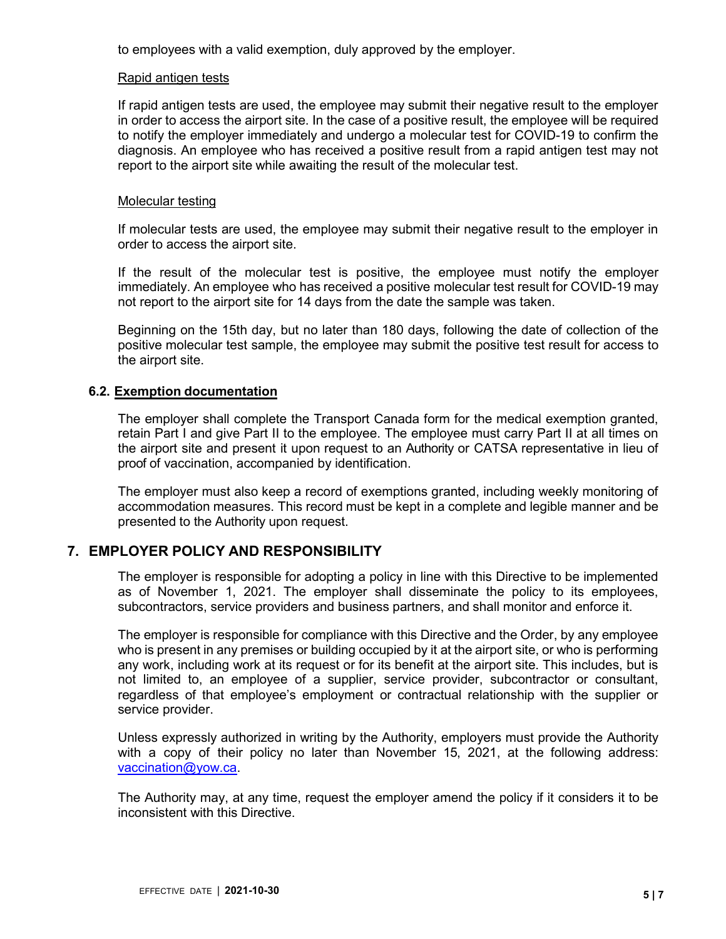to employees with a valid exemption, duly approved by the employer.

#### Rapid antigen tests

If rapid antigen tests are used, the employee may submit their negative result to the employer in order to access the airport site. In the case of a positive result, the employee will be required to notify the employer immediately and undergo a molecular test for COVID-19 to confirm the diagnosis. An employee who has received a positive result from a rapid antigen test may not report to the airport site while awaiting the result of the molecular test.

#### Molecular testing

If molecular tests are used, the employee may submit their negative result to the employer in order to access the airport site.

If the result of the molecular test is positive, the employee must notify the employer immediately. An employee who has received a positive molecular test result for COVID-19 may not report to the airport site for 14 days from the date the sample was taken.

Beginning on the 15th day, but no later than 180 days, following the date of collection of the positive molecular test sample, the employee may submit the positive test result for access to the airport site.

# **6.2. Exemption documentation**

The employer shall complete the Transport Canada form for the medical exemption granted, retain Part I and give Part II to the employee. The employee must carry Part II at all times on the airport site and present it upon request to an Authority or CATSA representative in lieu of proof of vaccination, accompanied by identification.

The employer must also keep a record of exemptions granted, including weekly monitoring of accommodation measures. This record must be kept in a complete and legible manner and be presented to the Authority upon request.

# **7. EMPLOYER POLICY AND RESPONSIBILITY**

The employer is responsible for adopting a policy in line with this Directive to be implemented as of November 1, 2021. The employer shall disseminate the policy to its employees, subcontractors, service providers and business partners, and shall monitor and enforce it.

The employer is responsible for compliance with this Directive and the Order, by any employee who is present in any premises or building occupied by it at the airport site, or who is performing any work, including work at its request or for its benefit at the airport site. This includes, but is not limited to, an employee of a supplier, service provider, subcontractor or consultant, regardless of that employee's employment or contractual relationship with the supplier or service provider.

Unless expressly authorized in writing by the Authority, employers must provide the Authority with a copy of their policy no later than November 15, 2021, at the following address: [vaccination@yow.ca.](mailto:vaccination@yow.ca)

The Authority may, at any time, request the employer amend the policy if it considers it to be inconsistent with this Directive.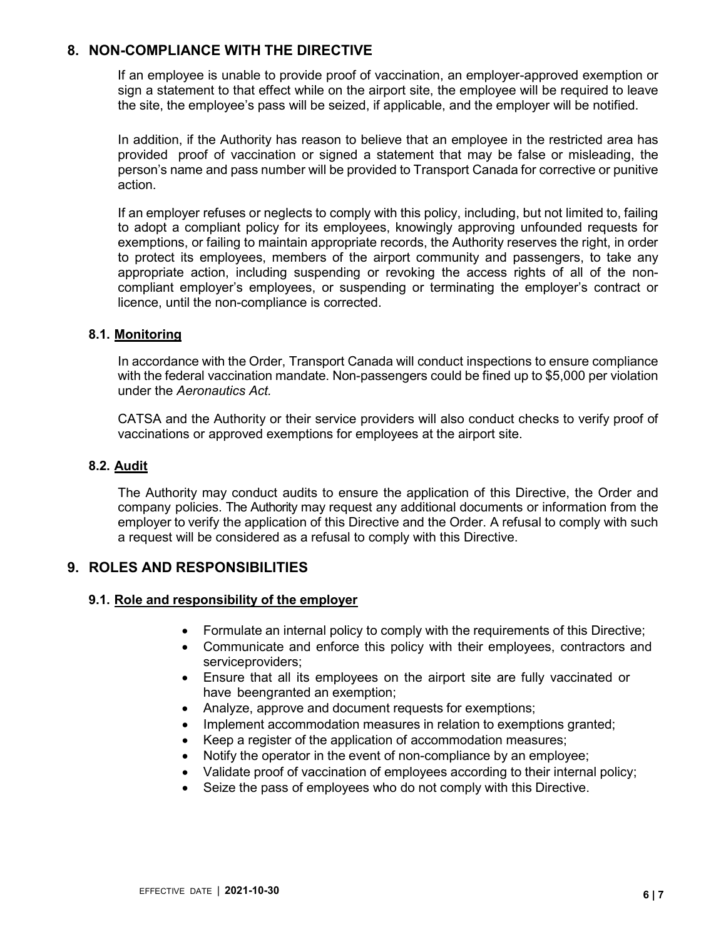# **8. NON-COMPLIANCE WITH THE DIRECTIVE**

If an employee is unable to provide proof of vaccination, an employer-approved exemption or sign a statement to that effect while on the airport site, the employee will be required to leave the site, the employee's pass will be seized, if applicable, and the employer will be notified.

In addition, if the Authority has reason to believe that an employee in the restricted area has provided proof of vaccination or signed a statement that may be false or misleading, the person's name and pass number will be provided to Transport Canada for corrective or punitive action.

If an employer refuses or neglects to comply with this policy, including, but not limited to, failing to adopt a compliant policy for its employees, knowingly approving unfounded requests for exemptions, or failing to maintain appropriate records, the Authority reserves the right, in order to protect its employees, members of the airport community and passengers, to take any appropriate action, including suspending or revoking the access rights of all of the noncompliant employer's employees, or suspending or terminating the employer's contract or licence, until the non-compliance is corrected.

#### **8.1. Monitoring**

In accordance with the Order, Transport Canada will conduct inspections to ensure compliance with the federal vaccination mandate. Non-passengers could be fined up to \$5,000 per violation under the *Aeronautics Act.*

CATSA and the Authority or their service providers will also conduct checks to verify proof of vaccinations or approved exemptions for employees at the airport site.

#### **8.2. Audit**

The Authority may conduct audits to ensure the application of this Directive, the Order and company policies. The Authority may request any additional documents or information from the employer to verify the application of this Directive and the Order. A refusal to comply with such a request will be considered as a refusal to comply with this Directive.

# **9. ROLES AND RESPONSIBILITIES**

#### **9.1. Role and responsibility of the employer**

- Formulate an internal policy to comply with the requirements of this Directive;
- Communicate and enforce this policy with their employees, contractors and serviceproviders;
- Ensure that all its employees on the airport site are fully vaccinated or have beengranted an exemption;
- Analyze, approve and document requests for exemptions;
- Implement accommodation measures in relation to exemptions granted;
- Keep a register of the application of accommodation measures;
- Notify the operator in the event of non-compliance by an employee;
- Validate proof of vaccination of employees according to their internal policy;
- Seize the pass of employees who do not comply with this Directive.